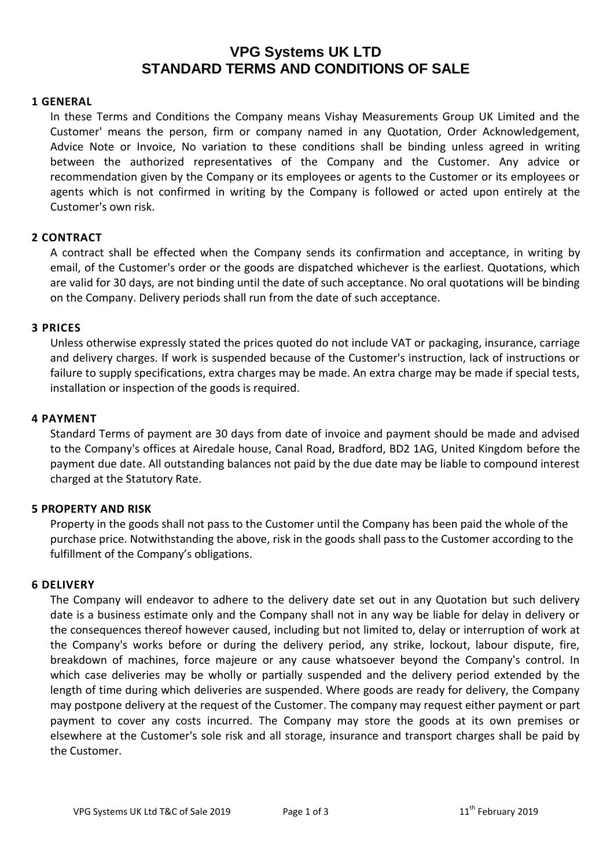# **VPG Systems UK LTD STANDARD TERMS AND CONDITIONS OF SALE**

#### **1 GENERAL**

In these Terms and Conditions the Company means Vishay Measurements Group UK Limited and the Customer' means the person, firm or company named in any Quotation, Order Acknowledgement, Advice Note or Invoice, No variation to these conditions shall be binding unless agreed in writing between the authorized representatives of the Company and the Customer. Any advice or recommendation given by the Company or its employees or agents to the Customer or its employees or agents which is not confirmed in writing by the Company is followed or acted upon entirely at the Customer's own risk.

#### **2 CONTRACT**

A contract shall be effected when the Company sends its confirmation and acceptance, in writing by email, of the Customer's order or the goods are dispatched whichever is the earliest. Quotations, which are valid for 30 days, are not binding until the date of such acceptance. No oral quotations will be binding on the Company. Delivery periods shall run from the date of such acceptance.

#### **3 PRICES**

Unless otherwise expressly stated the prices quoted do not include VAT or packaging, insurance, carriage and delivery charges. If work is suspended because of the Customer's instruction, lack of instructions or failure to supply specifications, extra charges may be made. An extra charge may be made if special tests, installation or inspection of the goods is required.

#### **4 PAYMENT**

Standard Terms of payment are 30 days from date of invoice and payment should be made and advised to the Company's offices at Airedale house, Canal Road, Bradford, BD2 1AG, United Kingdom before the payment due date. All outstanding balances not paid by the due date may be liable to compound interest charged at the Statutory Rate.

## **5 PROPERTY AND RISK**

Property in the goods shall not pass to the Customer until the Company has been paid the whole of the purchase price. Notwithstanding the above, risk in the goods shall pass to the Customer according to the fulfillment of the Company's obligations.

#### **6 DELIVERY**

The Company will endeavor to adhere to the delivery date set out in any Quotation but such delivery date is a business estimate only and the Company shall not in any way be liable for delay in delivery or the consequences thereof however caused, including but not limited to, delay or interruption of work at the Company's works before or during the delivery period, any strike, lockout, labour dispute, fire, breakdown of machines, force majeure or any cause whatsoever beyond the Company's control. In which case deliveries may be wholly or partially suspended and the delivery period extended by the length of time during which deliveries are suspended. Where goods are ready for delivery, the Company may postpone delivery at the request of the Customer. The company may request either payment or part payment to cover any costs incurred. The Company may store the goods at its own premises or elsewhere at the Customer's sole risk and all storage, insurance and transport charges shall be paid by the Customer.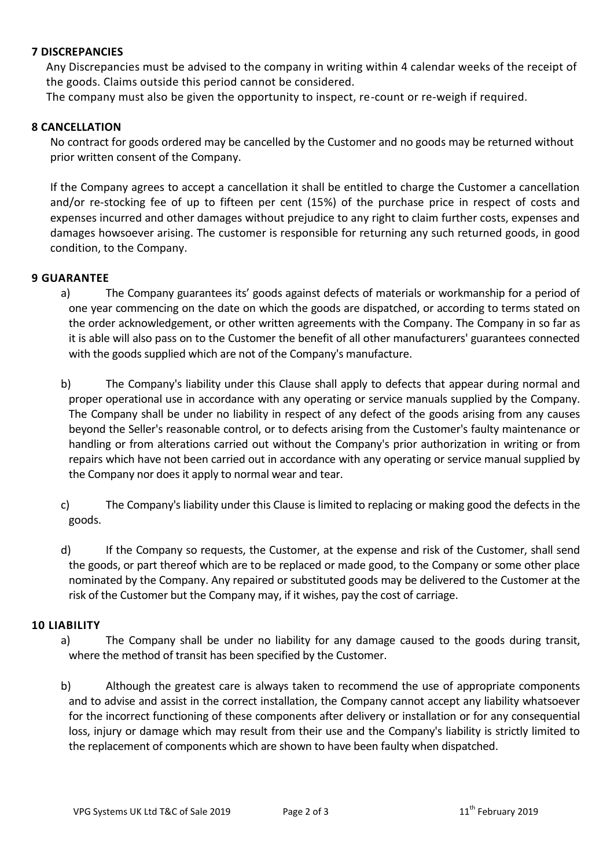## **7 DISCREPANCIES**

Any Discrepancies must be advised to the company in writing within 4 calendar weeks of the receipt of the goods. Claims outside this period cannot be considered.

The company must also be given the opportunity to inspect, re-count or re-weigh if required.

### **8 CANCELLATION**

No contract for goods ordered may be cancelled by the Customer and no goods may be returned without prior written consent of the Company.

If the Company agrees to accept a cancellation it shall be entitled to charge the Customer a cancellation and/or re-stocking fee of up to fifteen per cent (15%) of the purchase price in respect of costs and expenses incurred and other damages without prejudice to any right to claim further costs, expenses and damages howsoever arising. The customer is responsible for returning any such returned goods, in good condition, to the Company.

#### **9 GUARANTEE**

- a) The Company guarantees its' goods against defects of materials or workmanship for a period of one year commencing on the date on which the goods are dispatched, or according to terms stated on the order acknowledgement, or other written agreements with the Company. The Company in so far as it is able will also pass on to the Customer the benefit of all other manufacturers' guarantees connected with the goods supplied which are not of the Company's manufacture.
- b) The Company's liability under this Clause shall apply to defects that appear during normal and proper operational use in accordance with any operating or service manuals supplied by the Company. The Company shall be under no liability in respect of any defect of the goods arising from any causes beyond the Seller's reasonable control, or to defects arising from the Customer's faulty maintenance or handling or from alterations carried out without the Company's prior authorization in writing or from repairs which have not been carried out in accordance with any operating or service manual supplied by the Company nor does it apply to normal wear and tear.
- c) The Company's liability under this Clause is limited to replacing or making good the defects in the goods.
- d) If the Company so requests, the Customer, at the expense and risk of the Customer, shall send the goods, or part thereof which are to be replaced or made good, to the Company or some other place nominated by the Company. Any repaired or substituted goods may be delivered to the Customer at the risk of the Customer but the Company may, if it wishes, pay the cost of carriage.

## **10 LIABILITY**

- a) The Company shall be under no liability for any damage caused to the goods during transit, where the method of transit has been specified by the Customer.
- b) Although the greatest care is always taken to recommend the use of appropriate components and to advise and assist in the correct installation, the Company cannot accept any liability whatsoever for the incorrect functioning of these components after delivery or installation or for any consequential loss, injury or damage which may result from their use and the Company's liability is strictly limited to the replacement of components which are shown to have been faulty when dispatched.